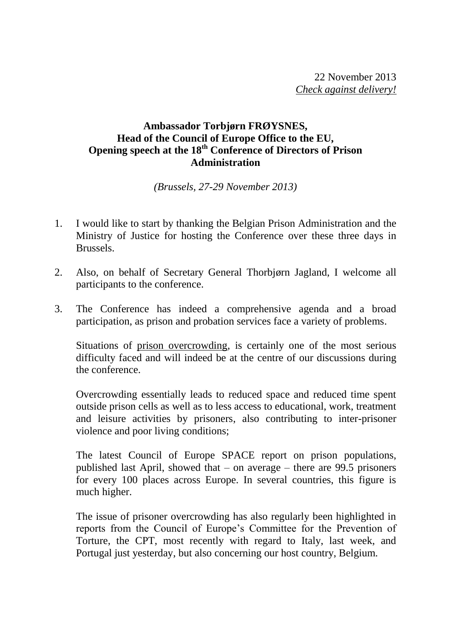## **Ambassador Torbjørn FRØYSNES, Head of the Council of Europe Office to the EU, Opening speech at the 18th Conference of Directors of Prison Administration**

*(Brussels, 27-29 November 2013)*

- 1. I would like to start by thanking the Belgian Prison Administration and the Ministry of Justice for hosting the Conference over these three days in Brussels.
- 2. Also, on behalf of Secretary General Thorbjørn Jagland, I welcome all participants to the conference.
- 3. The Conference has indeed a comprehensive agenda and a broad participation, as prison and probation services face a variety of problems.

Situations of prison overcrowding, is certainly one of the most serious difficulty faced and will indeed be at the centre of our discussions during the conference.

Overcrowding essentially leads to reduced space and reduced time spent outside prison cells as well as to less access to educational, work, treatment and leisure activities by prisoners, also contributing to inter-prisoner violence and poor living conditions;

The latest Council of Europe SPACE report on prison populations, published last April, showed that – on average – there are 99.5 prisoners for every 100 places across Europe. In several countries, this figure is much higher.

The issue of prisoner overcrowding has also regularly been highlighted in reports from the Council of Europe's Committee for the Prevention of Torture, the CPT, most recently with regard to Italy, last week, and Portugal just yesterday, but also concerning our host country, Belgium.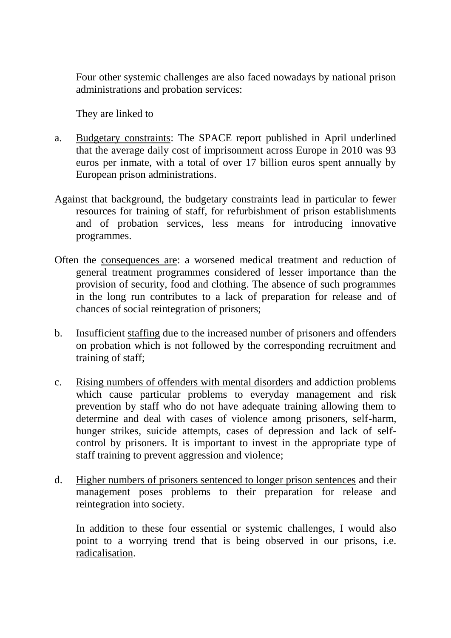Four other systemic challenges are also faced nowadays by national prison administrations and probation services:

They are linked to

- a. Budgetary constraints: The SPACE report published in April underlined that the average daily cost of imprisonment across Europe in 2010 was 93 euros per inmate, with a total of over 17 billion euros spent annually by European prison administrations.
- Against that background, the budgetary constraints lead in particular to fewer resources for training of staff, for refurbishment of prison establishments and of probation services, less means for introducing innovative programmes.
- Often the consequences are: a worsened medical treatment and reduction of general treatment programmes considered of lesser importance than the provision of security, food and clothing. The absence of such programmes in the long run contributes to a lack of preparation for release and of chances of social reintegration of prisoners;
- b. Insufficient staffing due to the increased number of prisoners and offenders on probation which is not followed by the corresponding recruitment and training of staff;
- c. Rising numbers of offenders with mental disorders and addiction problems which cause particular problems to everyday management and risk prevention by staff who do not have adequate training allowing them to determine and deal with cases of violence among prisoners, self-harm, hunger strikes, suicide attempts, cases of depression and lack of selfcontrol by prisoners. It is important to invest in the appropriate type of staff training to prevent aggression and violence;
- d. Higher numbers of prisoners sentenced to longer prison sentences and their management poses problems to their preparation for release and reintegration into society.

In addition to these four essential or systemic challenges, I would also point to a worrying trend that is being observed in our prisons, i.e. radicalisation.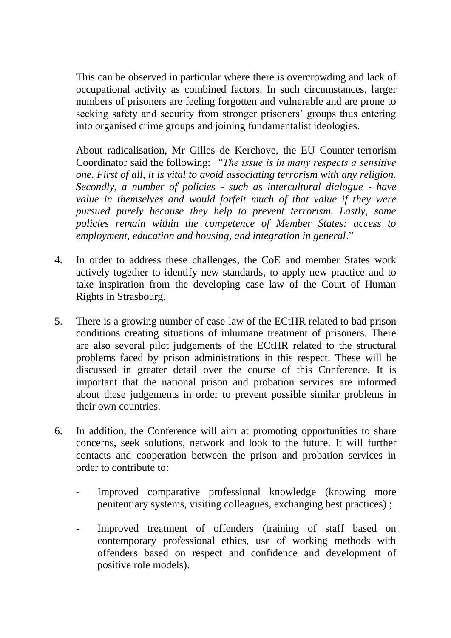This can be observed in particular where there is overcrowding and lack of occupational activity as combined factors. In such circumstances, larger numbers of prisoners are feeling forgotten and vulnerable and are prone to seeking safety and security from stronger prisoners' groups thus entering into organised crime groups and joining fundamentalist ideologies.

About radicalisation, Mr Gilles de Kerchove, the EU Counter-terrorism Coordinator said the following: *"The issue is in many respects a sensitive one. First of all, it is vital to avoid associating terrorism with any religion. Secondly, a number of policies - such as intercultural dialogue - have value in themselves and would forfeit much of that value if they were pursued purely because they help to prevent terrorism. Lastly, some policies remain within the competence of Member States: access to employment, education and housing, and integration in general*."

- 4. In order to address these challenges, the CoE and member States work actively together to identify new standards, to apply new practice and to take inspiration from the developing case law of the Court of Human Rights in Strasbourg.
- 5. There is a growing number of case-law of the ECtHR related to bad prison conditions creating situations of inhumane treatment of prisoners. There are also several pilot judgements of the ECtHR related to the structural problems faced by prison administrations in this respect. These will be discussed in greater detail over the course of this Conference. It is important that the national prison and probation services are informed about these judgements in order to prevent possible similar problems in their own countries.
- 6. In addition, the Conference will aim at promoting opportunities to share concerns, seek solutions, network and look to the future. It will further contacts and cooperation between the prison and probation services in order to contribute to:
	- Improved comparative professional knowledge (knowing more penitentiary systems, visiting colleagues, exchanging best practices) ;
	- Improved treatment of offenders (training of staff based on contemporary professional ethics, use of working methods with offenders based on respect and confidence and development of positive role models).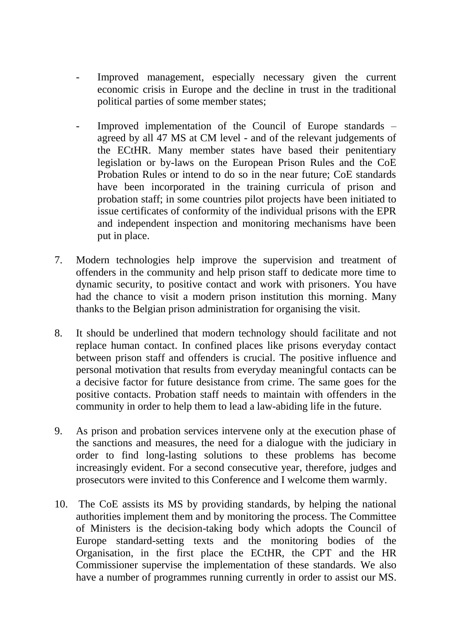- Improved management, especially necessary given the current economic crisis in Europe and the decline in trust in the traditional political parties of some member states;
- Improved implementation of the Council of Europe standards agreed by all 47 MS at CM level - and of the relevant judgements of the ECtHR. Many member states have based their penitentiary legislation or by-laws on the European Prison Rules and the CoE Probation Rules or intend to do so in the near future; CoE standards have been incorporated in the training curricula of prison and probation staff; in some countries pilot projects have been initiated to issue certificates of conformity of the individual prisons with the EPR and independent inspection and monitoring mechanisms have been put in place.
- 7. Modern technologies help improve the supervision and treatment of offenders in the community and help prison staff to dedicate more time to dynamic security, to positive contact and work with prisoners. You have had the chance to visit a modern prison institution this morning. Many thanks to the Belgian prison administration for organising the visit.
- 8. It should be underlined that modern technology should facilitate and not replace human contact. In confined places like prisons everyday contact between prison staff and offenders is crucial. The positive influence and personal motivation that results from everyday meaningful contacts can be a decisive factor for future desistance from crime. The same goes for the positive contacts. Probation staff needs to maintain with offenders in the community in order to help them to lead a law-abiding life in the future.
- 9. As prison and probation services intervene only at the execution phase of the sanctions and measures, the need for a dialogue with the judiciary in order to find long-lasting solutions to these problems has become increasingly evident. For a second consecutive year, therefore, judges and prosecutors were invited to this Conference and I welcome them warmly.
- 10. The CoE assists its MS by providing standards, by helping the national authorities implement them and by monitoring the process. The Committee of Ministers is the decision-taking body which adopts the Council of Europe standard-setting texts and the monitoring bodies of the Organisation, in the first place the ECtHR, the CPT and the HR Commissioner supervise the implementation of these standards. We also have a number of programmes running currently in order to assist our MS.